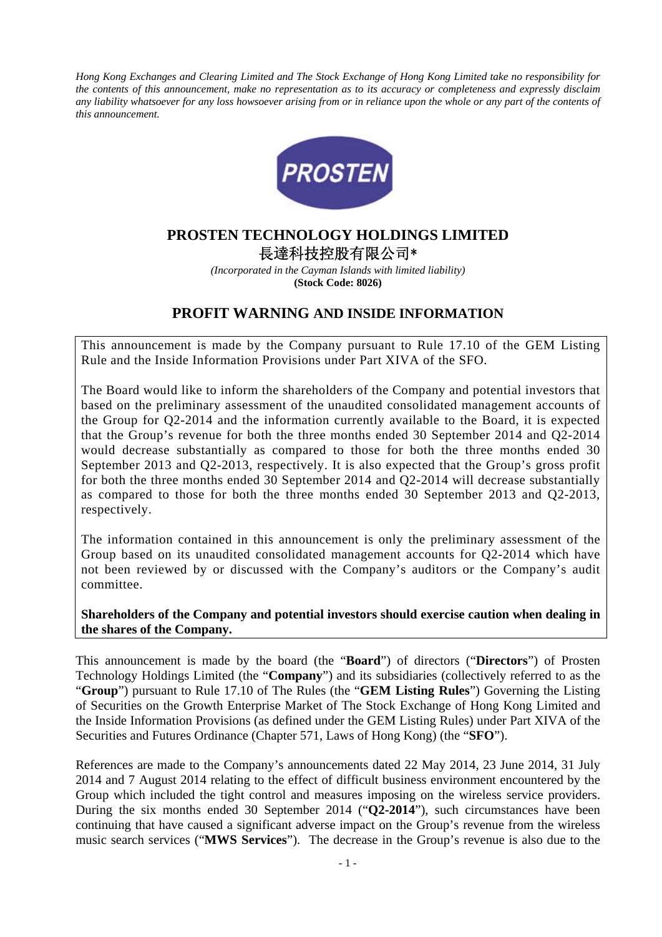*Hong Kong Exchanges and Clearing Limited and The Stock Exchange of Hong Kong Limited take no responsibility for the contents of this announcement, make no representation as to its accuracy or completeness and expressly disclaim*  any liability whatsoever for any loss howsoever arising from or in reliance upon the whole or any part of the contents of *this announcement.* 



# **PROSTEN TECHNOLOGY HOLDINGS LIMITED**  長達科技控股有限公司\*

*(Incorporated in the Cayman Islands with limited liability)*  **(Stock Code: 8026)** 

## **PROFIT WARNING AND INSIDE INFORMATION**

This announcement is made by the Company pursuant to Rule 17.10 of the GEM Listing Rule and the Inside Information Provisions under Part XIVA of the SFO.

The Board would like to inform the shareholders of the Company and potential investors that based on the preliminary assessment of the unaudited consolidated management accounts of the Group for Q2-2014 and the information currently available to the Board, it is expected that the Group's revenue for both the three months ended 30 September 2014 and Q2-2014 would decrease substantially as compared to those for both the three months ended 30 September 2013 and Q2-2013, respectively. It is also expected that the Group's gross profit for both the three months ended 30 September 2014 and Q2-2014 will decrease substantially as compared to those for both the three months ended 30 September 2013 and Q2-2013, respectively.

The information contained in this announcement is only the preliminary assessment of the Group based on its unaudited consolidated management accounts for Q2-2014 which have not been reviewed by or discussed with the Company's auditors or the Company's audit committee.

### **Shareholders of the Company and potential investors should exercise caution when dealing in the shares of the Company.**

This announcement is made by the board (the "**Board**") of directors ("**Directors**") of Prosten Technology Holdings Limited (the "**Company**") and its subsidiaries (collectively referred to as the "**Group**") pursuant to Rule 17.10 of The Rules (the "**GEM Listing Rules**") Governing the Listing of Securities on the Growth Enterprise Market of The Stock Exchange of Hong Kong Limited and the Inside Information Provisions (as defined under the GEM Listing Rules) under Part XIVA of the Securities and Futures Ordinance (Chapter 571, Laws of Hong Kong) (the "**SFO**").

References are made to the Company's announcements dated 22 May 2014, 23 June 2014, 31 July 2014 and 7 August 2014 relating to the effect of difficult business environment encountered by the Group which included the tight control and measures imposing on the wireless service providers. During the six months ended 30 September 2014 ("**Q2-2014**"), such circumstances have been continuing that have caused a significant adverse impact on the Group's revenue from the wireless music search services ("**MWS Services**"). The decrease in the Group's revenue is also due to the